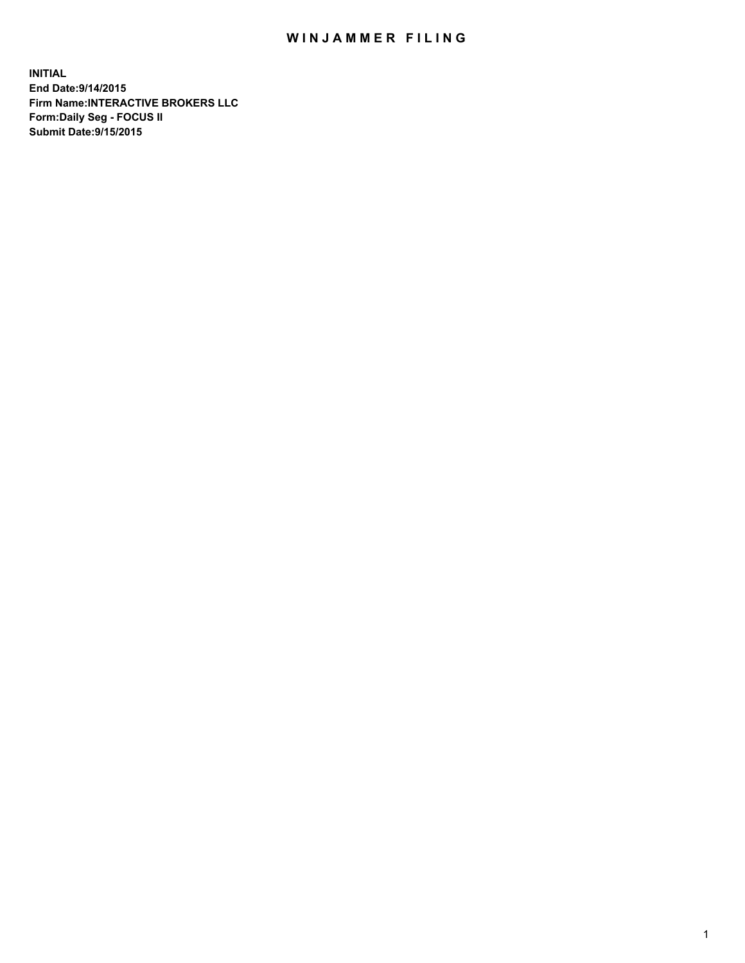## WIN JAMMER FILING

**INITIAL End Date:9/14/2015 Firm Name:INTERACTIVE BROKERS LLC Form:Daily Seg - FOCUS II Submit Date:9/15/2015**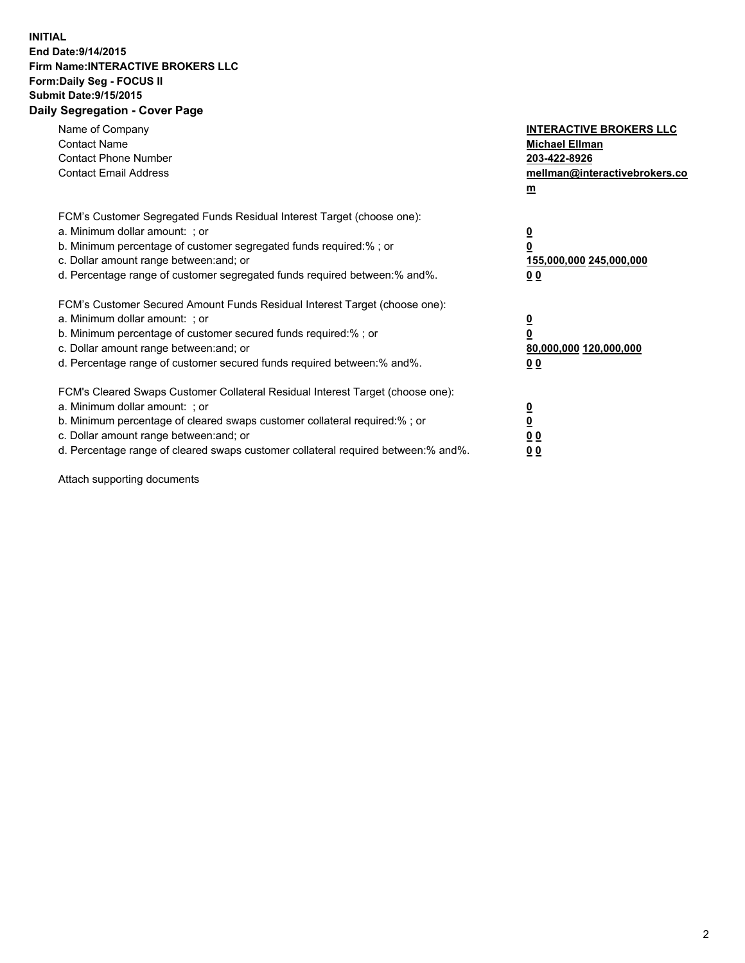## **INITIAL End Date:9/14/2015 Firm Name:INTERACTIVE BROKERS LLC Form:Daily Seg - FOCUS II Submit Date:9/15/2015 Daily Segregation - Cover Page**

| Name of Company<br><b>Contact Name</b><br><b>Contact Phone Number</b><br><b>Contact Email Address</b>                                                                                                                                                                                                                          | <b>INTERACTIVE BROKERS LLC</b><br><b>Michael Ellman</b><br>203-422-8926<br>mellman@interactivebrokers.co<br>$m$ |
|--------------------------------------------------------------------------------------------------------------------------------------------------------------------------------------------------------------------------------------------------------------------------------------------------------------------------------|-----------------------------------------------------------------------------------------------------------------|
| FCM's Customer Segregated Funds Residual Interest Target (choose one):<br>a. Minimum dollar amount: ; or<br>b. Minimum percentage of customer segregated funds required:% ; or<br>c. Dollar amount range between: and; or<br>d. Percentage range of customer segregated funds required between: % and %.                       | $\overline{\mathbf{0}}$<br>0<br>155,000,000 245,000,000<br>00                                                   |
| FCM's Customer Secured Amount Funds Residual Interest Target (choose one):<br>a. Minimum dollar amount: ; or<br>b. Minimum percentage of customer secured funds required:%; or<br>c. Dollar amount range between: and; or<br>d. Percentage range of customer secured funds required between: % and %.                          | $\overline{\mathbf{0}}$<br>0<br>80,000,000 120,000,000<br>0 <sub>0</sub>                                        |
| FCM's Cleared Swaps Customer Collateral Residual Interest Target (choose one):<br>a. Minimum dollar amount: ; or<br>b. Minimum percentage of cleared swaps customer collateral required:% ; or<br>c. Dollar amount range between: and; or<br>d. Percentage range of cleared swaps customer collateral required between:% and%. | $\overline{\mathbf{0}}$<br>$\underline{\mathbf{0}}$<br>0 <sub>0</sub><br>0 <sub>0</sub>                         |

Attach supporting documents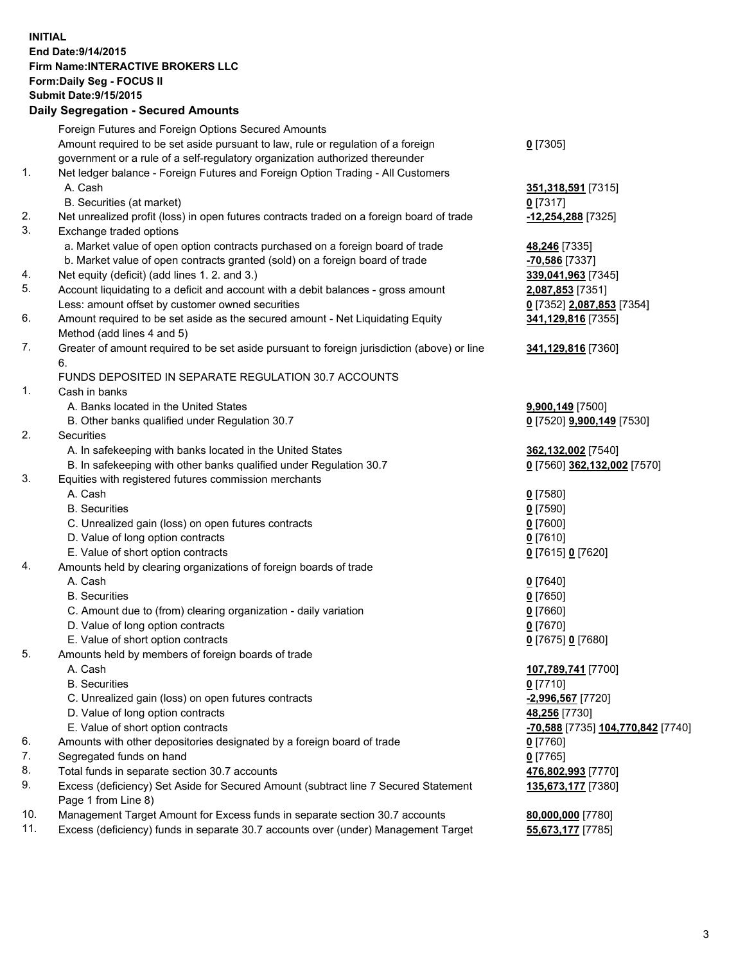## **INITIAL End Date:9/14/2015 Firm Name:INTERACTIVE BROKERS LLC Form:Daily Seg - FOCUS II Submit Date:9/15/2015 Daily Segregation - Secured Amounts**

| Amount required to be set aside pursuant to law, rule or regulation of a foreign            | $0$ [7305]                                                                                                                                |
|---------------------------------------------------------------------------------------------|-------------------------------------------------------------------------------------------------------------------------------------------|
| government or a rule of a self-regulatory organization authorized thereunder                |                                                                                                                                           |
| Net ledger balance - Foreign Futures and Foreign Option Trading - All Customers             |                                                                                                                                           |
| A. Cash                                                                                     | 351,318,591 [7315]                                                                                                                        |
| B. Securities (at market)                                                                   | $0$ [7317]                                                                                                                                |
| Net unrealized profit (loss) in open futures contracts traded on a foreign board of trade   | -12,254,288 [7325]                                                                                                                        |
| Exchange traded options                                                                     |                                                                                                                                           |
| a. Market value of open option contracts purchased on a foreign board of trade              | 48,246 [7335]                                                                                                                             |
| b. Market value of open contracts granted (sold) on a foreign board of trade                | -70,586 [7337]                                                                                                                            |
| Net equity (deficit) (add lines 1.2. and 3.)                                                | 339,041,963 [7345]                                                                                                                        |
| Account liquidating to a deficit and account with a debit balances - gross amount           | 2,087,853 [7351]                                                                                                                          |
| Less: amount offset by customer owned securities                                            | 0 [7352] 2,087,853 [7354]                                                                                                                 |
| Amount required to be set aside as the secured amount - Net Liquidating Equity              | 341,129,816 [7355]                                                                                                                        |
| Method (add lines 4 and 5)                                                                  |                                                                                                                                           |
| Greater of amount required to be set aside pursuant to foreign jurisdiction (above) or line | 341,129,816 [7360]                                                                                                                        |
| 6.                                                                                          |                                                                                                                                           |
| FUNDS DEPOSITED IN SEPARATE REGULATION 30.7 ACCOUNTS                                        |                                                                                                                                           |
| Cash in banks                                                                               |                                                                                                                                           |
| A. Banks located in the United States                                                       | 9,900,149 [7500]                                                                                                                          |
| B. Other banks qualified under Regulation 30.7                                              | 0 [7520] 9,900,149 [7530]                                                                                                                 |
| Securities                                                                                  |                                                                                                                                           |
| A. In safekeeping with banks located in the United States                                   | 362,132,002 [7540]                                                                                                                        |
| B. In safekeeping with other banks qualified under Regulation 30.7                          | 0 [7560] 362,132,002 [7570]                                                                                                               |
| Equities with registered futures commission merchants                                       |                                                                                                                                           |
| A. Cash                                                                                     | $0$ [7580]                                                                                                                                |
| <b>B.</b> Securities                                                                        | $0$ [7590]                                                                                                                                |
| C. Unrealized gain (loss) on open futures contracts                                         | $0$ [7600]                                                                                                                                |
| D. Value of long option contracts                                                           | $0$ [7610]                                                                                                                                |
| E. Value of short option contracts                                                          | 0 [7615] 0 [7620]                                                                                                                         |
| Amounts held by clearing organizations of foreign boards of trade                           |                                                                                                                                           |
| A. Cash                                                                                     | $0$ [7640]                                                                                                                                |
| <b>B.</b> Securities                                                                        | $0$ [7650]                                                                                                                                |
| C. Amount due to (from) clearing organization - daily variation                             | $0$ [7660]                                                                                                                                |
| D. Value of long option contracts                                                           | $0$ [7670]                                                                                                                                |
| E. Value of short option contracts                                                          | 0 [7675] 0 [7680]                                                                                                                         |
| Amounts held by members of foreign boards of trade                                          |                                                                                                                                           |
| A. Cash                                                                                     | 107,789,741 [7700]                                                                                                                        |
| <b>B.</b> Securities                                                                        | $0$ [7710]                                                                                                                                |
| C. Unrealized gain (loss) on open futures contracts                                         | -2,996,567 [7720]                                                                                                                         |
| D. Value of long option contracts                                                           | 48,256 [7730]                                                                                                                             |
| E. Value of short option contracts                                                          | -70,588 [7735] 104,770,842 [7740]                                                                                                         |
| Amounts with other depositories designated by a foreign board of trade                      | $0$ [7760]                                                                                                                                |
| Segregated funds on hand                                                                    | $0$ [7765]                                                                                                                                |
| Total funds in separate section 30.7 accounts                                               | 476,802,993 [7770]                                                                                                                        |
| Excess (deficiency) Set Aside for Secured Amount (subtract line 7 Secured Statement         | 135,673,177 [7380]                                                                                                                        |
| Page 1 from Line 8)                                                                         |                                                                                                                                           |
| Management Target Amount for Excess funds in separate section 30.7 accounts                 | 80,000,000 [7780]                                                                                                                         |
|                                                                                             | 55,673,177 [7785]                                                                                                                         |
|                                                                                             | Foreign Futures and Foreign Options Secured Amounts<br>Excess (deficiency) funds in separate 30.7 accounts over (under) Management Target |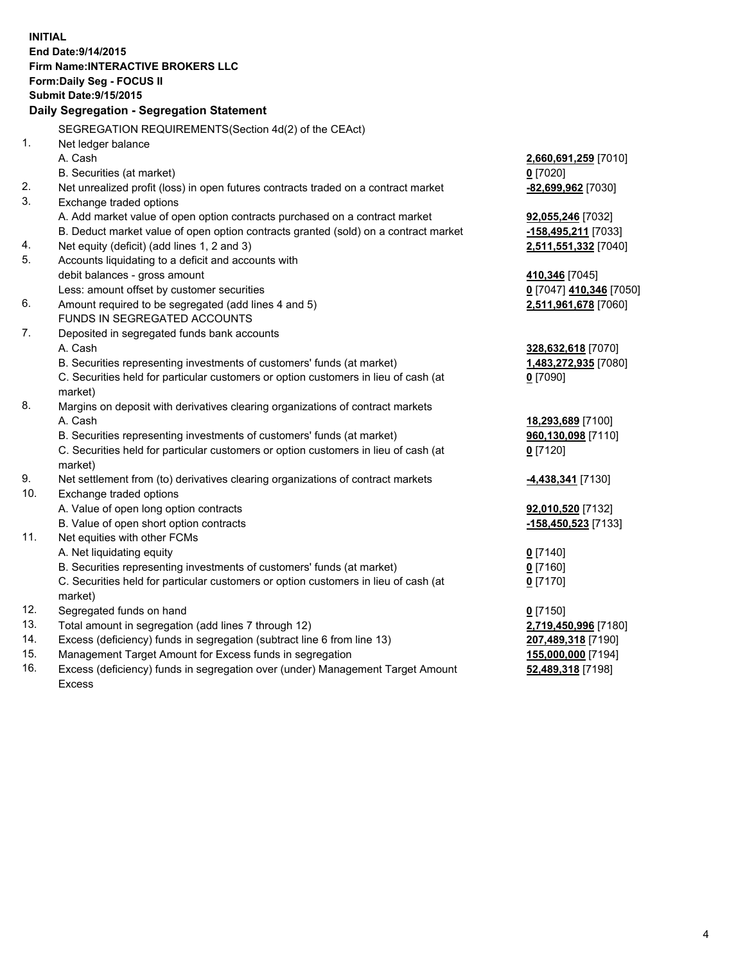**INITIAL End Date:9/14/2015 Firm Name:INTERACTIVE BROKERS LLC Form:Daily Seg - FOCUS II Submit Date:9/15/2015 Daily Segregation - Segregation Statement** SEGREGATION REQUIREMENTS(Section 4d(2) of the CEAct) 1. Net ledger balance A. Cash **2,660,691,259** [7010] B. Securities (at market) **0** [7020] 2. Net unrealized profit (loss) in open futures contracts traded on a contract market **-82,699,962** [7030] 3. Exchange traded options A. Add market value of open option contracts purchased on a contract market **92,055,246** [7032] B. Deduct market value of open option contracts granted (sold) on a contract market **-158,495,211** [7033] 4. Net equity (deficit) (add lines 1, 2 and 3) **2,511,551,332** [7040] 5. Accounts liquidating to a deficit and accounts with debit balances - gross amount **410,346** [7045] Less: amount offset by customer securities **0** [7047] **410,346** [7050] 6. Amount required to be segregated (add lines 4 and 5) **2,511,961,678** [7060] FUNDS IN SEGREGATED ACCOUNTS 7. Deposited in segregated funds bank accounts A. Cash **328,632,618** [7070] B. Securities representing investments of customers' funds (at market) **1,483,272,935** [7080] C. Securities held for particular customers or option customers in lieu of cash (at market) **0** [7090] 8. Margins on deposit with derivatives clearing organizations of contract markets A. Cash **18,293,689** [7100] B. Securities representing investments of customers' funds (at market) **960,130,098** [7110] C. Securities held for particular customers or option customers in lieu of cash (at market) **0** [7120] 9. Net settlement from (to) derivatives clearing organizations of contract markets **-4,438,341** [7130] 10. Exchange traded options A. Value of open long option contracts **92,010,520** [7132] B. Value of open short option contracts **-158,450,523** [7133] 11. Net equities with other FCMs A. Net liquidating equity **0** [7140] B. Securities representing investments of customers' funds (at market) **0** [7160] C. Securities held for particular customers or option customers in lieu of cash (at market) **0** [7170] 12. Segregated funds on hand **0** [7150] 13. Total amount in segregation (add lines 7 through 12) **2,719,450,996** [7180] 14. Excess (deficiency) funds in segregation (subtract line 6 from line 13) **207,489,318** [7190] 15. Management Target Amount for Excess funds in segregation **155,000,000** [7194] **52,489,318** [7198]

16. Excess (deficiency) funds in segregation over (under) Management Target Amount Excess